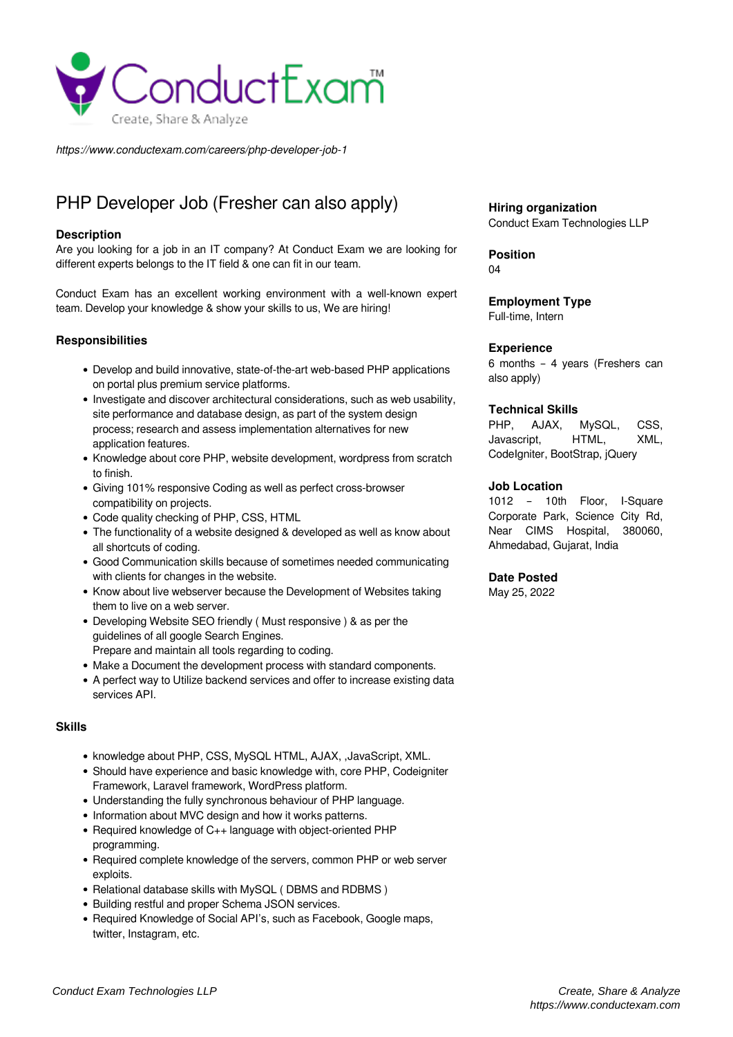

*https://www.conductexam.com/careers/php-developer-job-1*

# PHP Developer Job (Fresher can also apply)

# **Description**

Are you looking for a job in an IT company? At Conduct Exam we are looking for different experts belongs to the IT field & one can fit in our team.

Conduct Exam has an excellent working environment with a well-known expert team. Develop your knowledge & show your skills to us, We are hiring!

# **Responsibilities**

- Develop and build innovative, state-of-the-art web-based PHP applications on portal plus premium service platforms.
- Investigate and discover architectural considerations, such as web usability, site performance and database design, as part of the system design process; research and assess implementation alternatives for new application features.
- Knowledge about core PHP, website development, wordpress from scratch to finish.
- Giving 101% responsive Coding as well as perfect cross-browser compatibility on projects.
- Code quality checking of PHP, CSS, HTML
- The functionality of a website designed & developed as well as know about all shortcuts of coding.
- Good Communication skills because of sometimes needed communicating with clients for changes in the website.
- Know about live webserver because the Development of Websites taking them to live on a web server.
- Developing Website SEO friendly ( Must responsive ) & as per the guidelines of all google Search Engines. Prepare and maintain all tools regarding to coding.
- Make a Document the development process with standard components.
- A perfect way to Utilize backend services and offer to increase existing data services API.

### **Skills**

- knowledge about PHP, CSS, MySQL HTML, AJAX, ,JavaScript, XML.
- Should have experience and basic knowledge with, core PHP, Codeigniter Framework, Laravel framework, WordPress platform.
- Understanding the fully synchronous behaviour of PHP language.
- Information about MVC design and how it works patterns.
- Required knowledge of C++ language with object-oriented PHP programming.
- Required complete knowledge of the servers, common PHP or web server exploits.
- Relational database skills with MySQL ( DBMS and RDBMS )
- Building restful and proper Schema JSON services.
- Required Knowledge of Social API's, such as Facebook, Google maps, twitter, Instagram, etc.

**Hiring organization** Conduct Exam Technologies LLP

**Position**  $\Omega$ 

**Employment Type** Full-time, Intern

#### **Experience**

6 months – 4 years (Freshers can also apply)

#### **Technical Skills**

PHP, AJAX, MySQL, CSS, Javascript, HTML, XML, CodeIgniter, BootStrap, jQuery

#### **Job Location**

1012 – 10th Floor, I-Square Corporate Park, Science City Rd, Near CIMS Hospital, 380060, Ahmedabad, Gujarat, India

## **Date Posted**

May 25, 2022